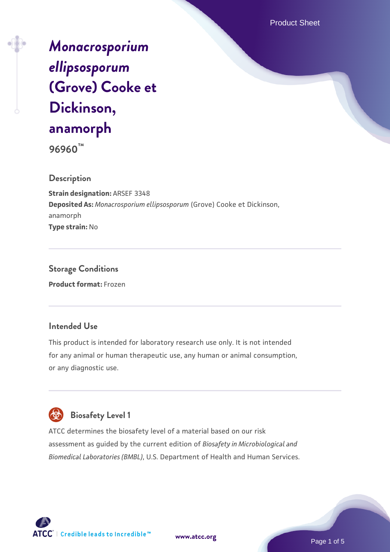Product Sheet

# *[Monacrosporium](https://www.atcc.org/products/96960) [ellipsosporum](https://www.atcc.org/products/96960)* **[\(Grove\) Cooke et](https://www.atcc.org/products/96960) [Dickinson,](https://www.atcc.org/products/96960) [anamorph](https://www.atcc.org/products/96960)**

**96960™**

### **Description**

**Strain designation:** ARSEF 3348 **Deposited As:** *Monacrosporium ellipsosporum* (Grove) Cooke et Dickinson, anamorph **Type strain:** No

**Storage Conditions Product format:** Frozen

### **Intended Use**

This product is intended for laboratory research use only. It is not intended for any animal or human therapeutic use, any human or animal consumption, or any diagnostic use.



## **Biosafety Level 1**

ATCC determines the biosafety level of a material based on our risk assessment as guided by the current edition of *Biosafety in Microbiological and Biomedical Laboratories (BMBL)*, U.S. Department of Health and Human Services.

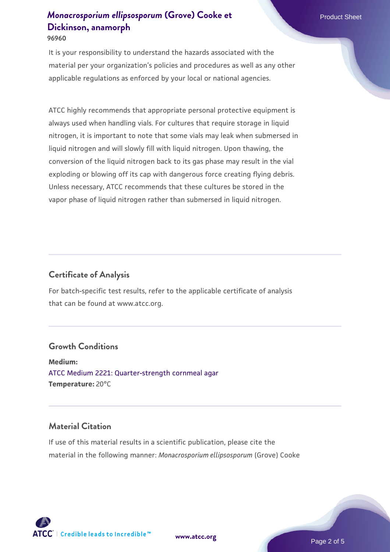It is your responsibility to understand the hazards associated with the material per your organization's policies and procedures as well as any other applicable regulations as enforced by your local or national agencies.

ATCC highly recommends that appropriate personal protective equipment is always used when handling vials. For cultures that require storage in liquid nitrogen, it is important to note that some vials may leak when submersed in liquid nitrogen and will slowly fill with liquid nitrogen. Upon thawing, the conversion of the liquid nitrogen back to its gas phase may result in the vial exploding or blowing off its cap with dangerous force creating flying debris. Unless necessary, ATCC recommends that these cultures be stored in the vapor phase of liquid nitrogen rather than submersed in liquid nitrogen.

### **Certificate of Analysis**

For batch-specific test results, refer to the applicable certificate of analysis that can be found at www.atcc.org.

### **Growth Conditions**

**Medium:**  [ATCC Medium 2221: Quarter-strength cornmeal agar](https://www.atcc.org/-/media/product-assets/documents/microbial-media-formulations/2/2/2/1/atcc-medium-2221.pdf?rev=9a5335e49bad45459ea9c2f9d8051454) **Temperature:** 20°C

#### **Material Citation**

If use of this material results in a scientific publication, please cite the material in the following manner: *Monacrosporium ellipsosporum* (Grove) Cooke



**[www.atcc.org](http://www.atcc.org)**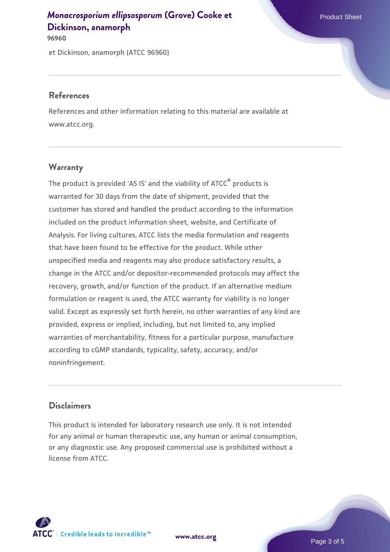**96960**

et Dickinson, anamorph (ATCC 96960)

#### **References**

References and other information relating to this material are available at www.atcc.org.

### **Warranty**

The product is provided 'AS IS' and the viability of ATCC® products is warranted for 30 days from the date of shipment, provided that the customer has stored and handled the product according to the information included on the product information sheet, website, and Certificate of Analysis. For living cultures, ATCC lists the media formulation and reagents that have been found to be effective for the product. While other unspecified media and reagents may also produce satisfactory results, a change in the ATCC and/or depositor-recommended protocols may affect the recovery, growth, and/or function of the product. If an alternative medium formulation or reagent is used, the ATCC warranty for viability is no longer valid. Except as expressly set forth herein, no other warranties of any kind are provided, express or implied, including, but not limited to, any implied warranties of merchantability, fitness for a particular purpose, manufacture according to cGMP standards, typicality, safety, accuracy, and/or noninfringement.

### **Disclaimers**

This product is intended for laboratory research use only. It is not intended for any animal or human therapeutic use, any human or animal consumption, or any diagnostic use. Any proposed commercial use is prohibited without a license from ATCC.

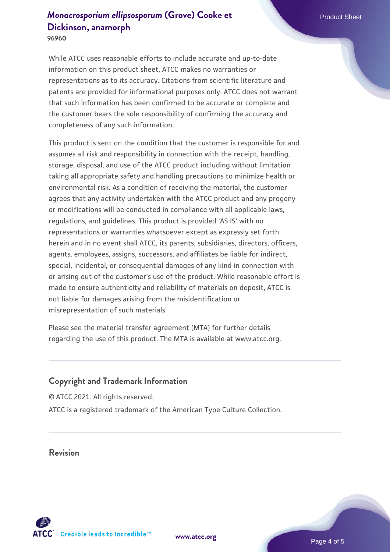**96960**

While ATCC uses reasonable efforts to include accurate and up-to-date information on this product sheet, ATCC makes no warranties or representations as to its accuracy. Citations from scientific literature and patents are provided for informational purposes only. ATCC does not warrant that such information has been confirmed to be accurate or complete and the customer bears the sole responsibility of confirming the accuracy and completeness of any such information.

This product is sent on the condition that the customer is responsible for and assumes all risk and responsibility in connection with the receipt, handling, storage, disposal, and use of the ATCC product including without limitation taking all appropriate safety and handling precautions to minimize health or environmental risk. As a condition of receiving the material, the customer agrees that any activity undertaken with the ATCC product and any progeny or modifications will be conducted in compliance with all applicable laws, regulations, and guidelines. This product is provided 'AS IS' with no representations or warranties whatsoever except as expressly set forth herein and in no event shall ATCC, its parents, subsidiaries, directors, officers, agents, employees, assigns, successors, and affiliates be liable for indirect, special, incidental, or consequential damages of any kind in connection with or arising out of the customer's use of the product. While reasonable effort is made to ensure authenticity and reliability of materials on deposit, ATCC is not liable for damages arising from the misidentification or misrepresentation of such materials.

Please see the material transfer agreement (MTA) for further details regarding the use of this product. The MTA is available at www.atcc.org.

#### **Copyright and Trademark Information**

© ATCC 2021. All rights reserved. ATCC is a registered trademark of the American Type Culture Collection.

**Revision**



**[www.atcc.org](http://www.atcc.org)**